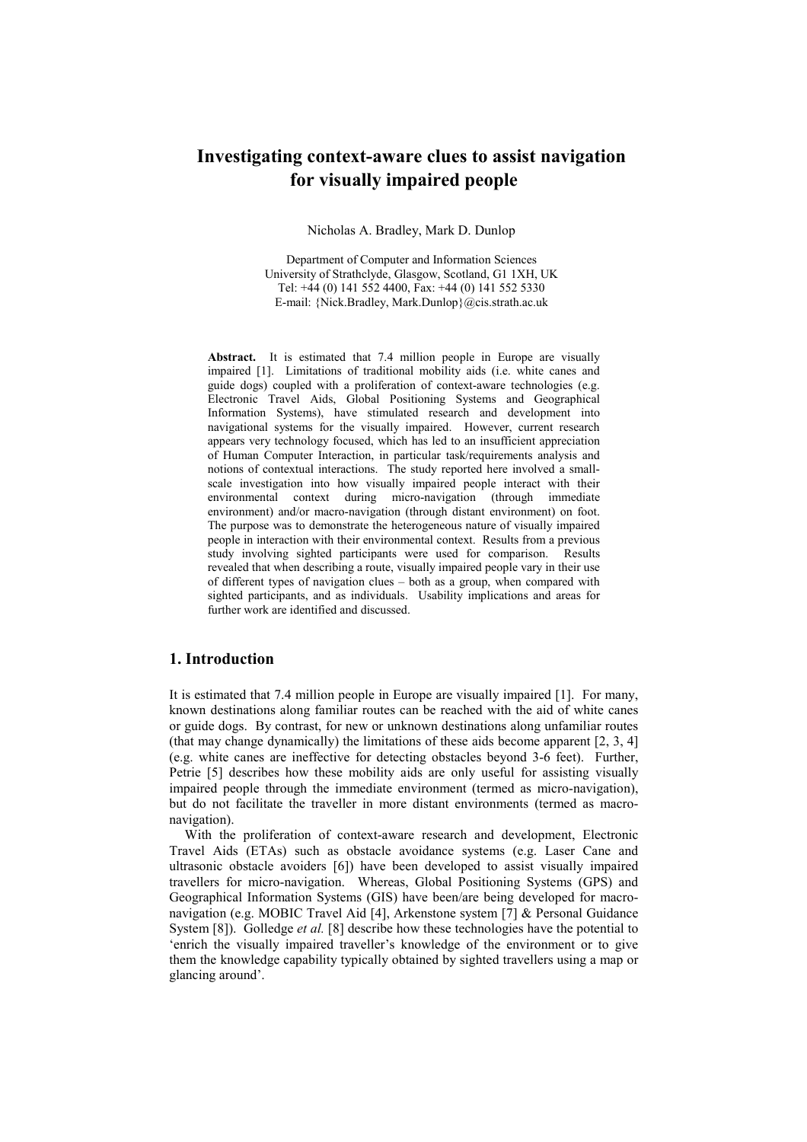# **Investigating context-aware clues to assist navigation for visually impaired people**

Nicholas A. Bradley, Mark D. Dunlop

Department of Computer and Information Sciences University of Strathclyde, Glasgow, Scotland, G1 1XH, UK Tel: +44 (0) 141 552 4400, Fax: +44 (0) 141 552 5330 E-mail: {Nick.Bradley, Mark.Dunlop}@cis.strath.ac.uk

**Abstract.** It is estimated that 7.4 million people in Europe are visually impaired [1]. Limitations of traditional mobility aids (i.e. white canes and guide dogs) coupled with a proliferation of context-aware technologies (e.g. Electronic Travel Aids, Global Positioning Systems and Geographical Information Systems), have stimulated research and development into navigational systems for the visually impaired. However, current research appears very technology focused, which has led to an insufficient appreciation of Human Computer Interaction, in particular task/requirements analysis and notions of contextual interactions. The study reported here involved a smallscale investigation into how visually impaired people interact with their environmental context during micro-navigation (through immediate environment) and/or macro-navigation (through distant environment) on foot. The purpose was to demonstrate the heterogeneous nature of visually impaired people in interaction with their environmental context. Results from a previous study involving sighted participants were used for comparison. Results revealed that when describing a route, visually impaired people vary in their use of different types of navigation clues – both as a group, when compared with sighted participants, and as individuals. Usability implications and areas for further work are identified and discussed.

#### **1. Introduction**

It is estimated that 7.4 million people in Europe are visually impaired [1]. For many, known destinations along familiar routes can be reached with the aid of white canes or guide dogs. By contrast, for new or unknown destinations along unfamiliar routes (that may change dynamically) the limitations of these aids become apparent [2, 3, 4] (e.g. white canes are ineffective for detecting obstacles beyond 3-6 feet). Further, Petrie [5] describes how these mobility aids are only useful for assisting visually impaired people through the immediate environment (termed as micro-navigation), but do not facilitate the traveller in more distant environments (termed as macronavigation).

With the proliferation of context-aware research and development, Electronic Travel Aids (ETAs) such as obstacle avoidance systems (e.g. Laser Cane and ultrasonic obstacle avoiders [6]) have been developed to assist visually impaired travellers for micro-navigation. Whereas, Global Positioning Systems (GPS) and Geographical Information Systems (GIS) have been/are being developed for macronavigation (e.g. MOBIC Travel Aid [4], Arkenstone system [7] & Personal Guidance System [8]). Golledge *et al.* [8] describe how these technologies have the potential to 'enrich the visually impaired traveller's knowledge of the environment or to give them the knowledge capability typically obtained by sighted travellers using a map or glancing around'.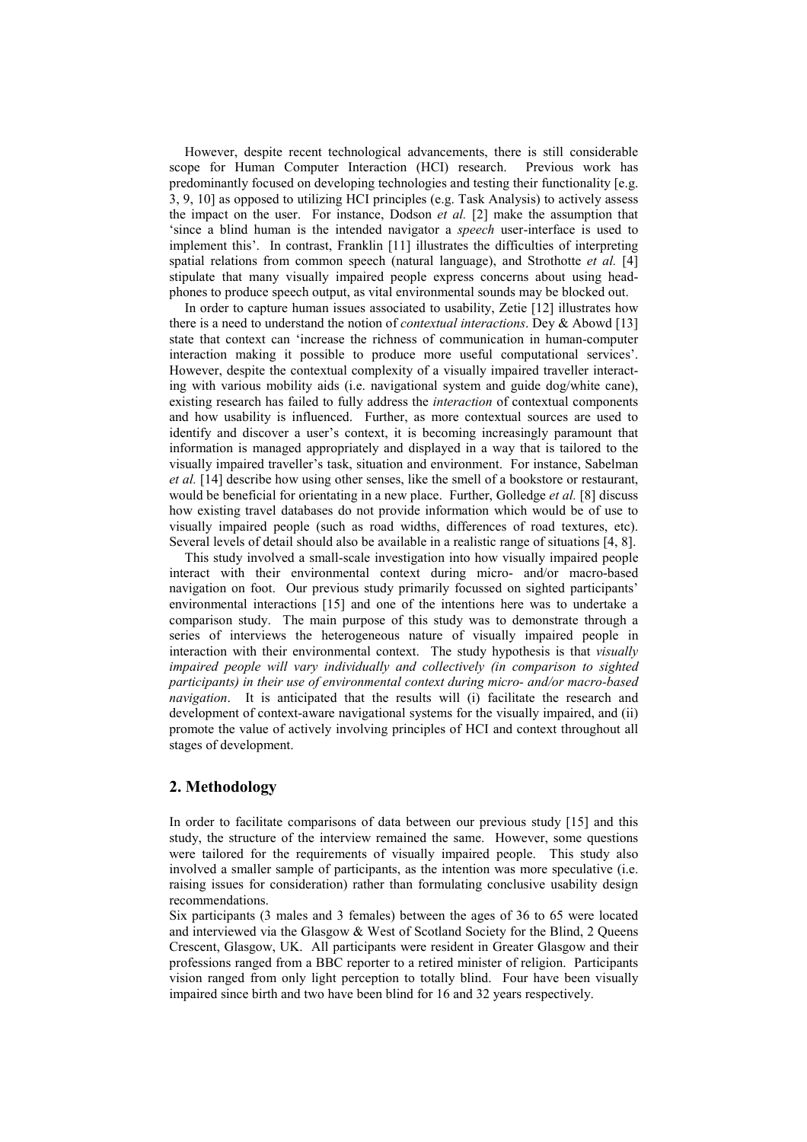However, despite recent technological advancements, there is still considerable scope for Human Computer Interaction (HCI) research. Previous work has predominantly focused on developing technologies and testing their functionality [e.g. 3, 9, 10] as opposed to utilizing HCI principles (e.g. Task Analysis) to actively assess the impact on the user. For instance, Dodson *et al.* [2] make the assumption that 'since a blind human is the intended navigator a *speech* user-interface is used to implement this'. In contrast, Franklin [11] illustrates the difficulties of interpreting spatial relations from common speech (natural language), and Strothotte *et al.* [4] stipulate that many visually impaired people express concerns about using headphones to produce speech output, as vital environmental sounds may be blocked out.

In order to capture human issues associated to usability, Zetie [12] illustrates how there is a need to understand the notion of *contextual interactions*. Dey & Abowd [13] state that context can 'increase the richness of communication in human-computer interaction making it possible to produce more useful computational services'. However, despite the contextual complexity of a visually impaired traveller interacting with various mobility aids (i.e. navigational system and guide dog/white cane), existing research has failed to fully address the *interaction* of contextual components and how usability is influenced. Further, as more contextual sources are used to identify and discover a user's context, it is becoming increasingly paramount that information is managed appropriately and displayed in a way that is tailored to the visually impaired traveller's task, situation and environment. For instance, Sabelman *et al.* [14] describe how using other senses, like the smell of a bookstore or restaurant, would be beneficial for orientating in a new place. Further, Golledge *et al.* [8] discuss how existing travel databases do not provide information which would be of use to visually impaired people (such as road widths, differences of road textures, etc). Several levels of detail should also be available in a realistic range of situations [4, 8].

This study involved a small-scale investigation into how visually impaired people interact with their environmental context during micro- and/or macro-based navigation on foot. Our previous study primarily focussed on sighted participants' environmental interactions [15] and one of the intentions here was to undertake a comparison study. The main purpose of this study was to demonstrate through a series of interviews the heterogeneous nature of visually impaired people in interaction with their environmental context. The study hypothesis is that *visually*  impaired people will vary individually and collectively (in comparison to sighted *participants) in their use of environmental context during micro- and/or macro-based navigation*. It is anticipated that the results will (i) facilitate the research and development of context-aware navigational systems for the visually impaired, and (ii) promote the value of actively involving principles of HCI and context throughout all stages of development.

## **2. Methodology**

In order to facilitate comparisons of data between our previous study [15] and this study, the structure of the interview remained the same. However, some questions were tailored for the requirements of visually impaired people. This study also involved a smaller sample of participants, as the intention was more speculative (i.e. raising issues for consideration) rather than formulating conclusive usability design recommendations.

Six participants (3 males and 3 females) between the ages of 36 to 65 were located and interviewed via the Glasgow & West of Scotland Society for the Blind, 2 Queens Crescent, Glasgow, UK. All participants were resident in Greater Glasgow and their professions ranged from a BBC reporter to a retired minister of religion. Participants vision ranged from only light perception to totally blind. Four have been visually impaired since birth and two have been blind for 16 and 32 years respectively.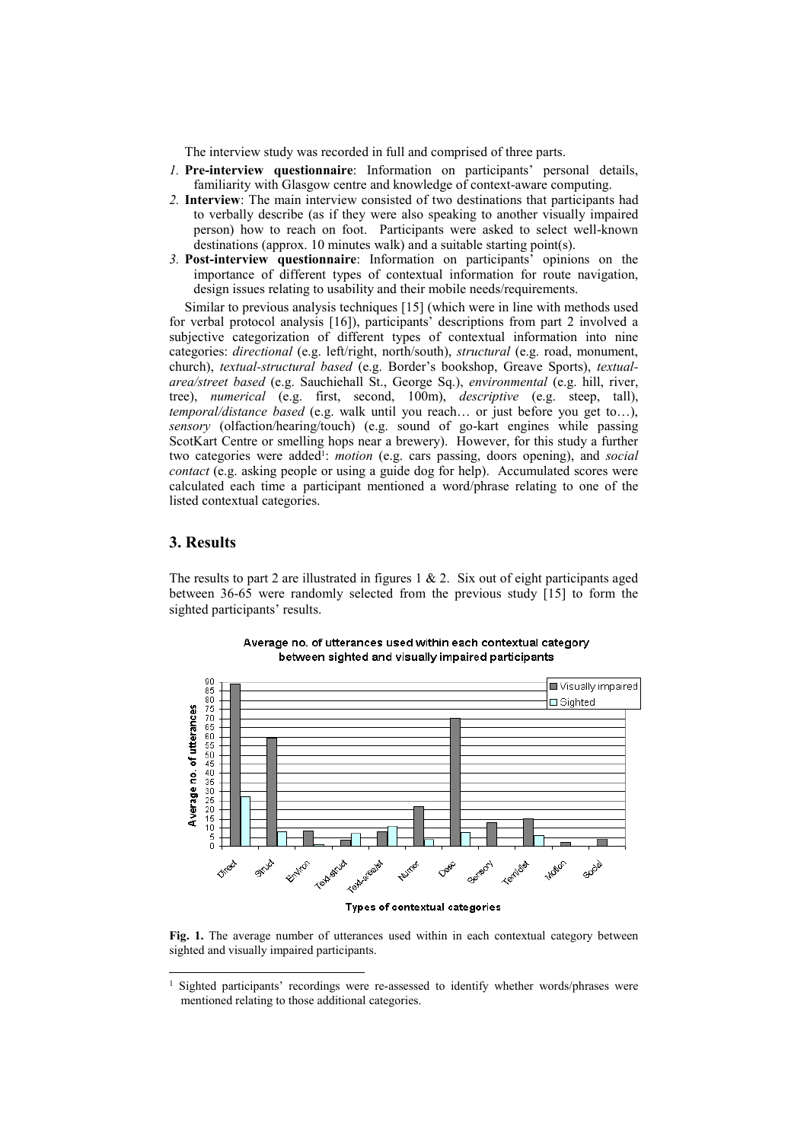The interview study was recorded in full and comprised of three parts.

- *1.* **Pre-interview questionnaire**: Information on participants' personal details, familiarity with Glasgow centre and knowledge of context-aware computing.
- *2.* **Interview**: The main interview consisted of two destinations that participants had to verbally describe (as if they were also speaking to another visually impaired person) how to reach on foot. Participants were asked to select well-known destinations (approx. 10 minutes walk) and a suitable starting point(s).
- *3.* **Post-interview questionnaire**: Information on participants' opinions on the importance of different types of contextual information for route navigation, design issues relating to usability and their mobile needs/requirements.

Similar to previous analysis techniques [15] (which were in line with methods used for verbal protocol analysis [16]), participants' descriptions from part 2 involved a subjective categorization of different types of contextual information into nine categories: *directional* (e.g. left/right, north/south), *structural* (e.g. road, monument, church), *textual-structural based* (e.g. Border's bookshop, Greave Sports), *textualarea/street based* (e.g. Sauchiehall St., George Sq.), *environmental* (e.g. hill, river, tree), *numerical* (e.g. first, second, 100m), *descriptive* (e.g. steep, tall), *temporal/distance based* (e.g. walk until you reach… or just before you get to…), *sensory* (olfaction/hearing/touch) (e.g. sound of go-kart engines while passing ScotKart Centre or smelling hops near a brewery). However, for this study a further two categories were added<sup>1</sup>: *motion* (e.g. cars passing, doors opening), and *social contact* (e.g. asking people or using a guide dog for help). Accumulated scores were calculated each time a participant mentioned a word/phrase relating to one of the listed contextual categories.

#### **3. Results**

-

The results to part 2 are illustrated in figures  $1 \& 2$ . Six out of eight participants aged between 36-65 were randomly selected from the previous study [15] to form the sighted participants' results.



Average no, of utterances used within each contextual category between sighted and visually impaired participants

Types of contextual categories

**Fig. 1.** The average number of utterances used within in each contextual category between sighted and visually impaired participants.

<sup>&</sup>lt;sup>1</sup> Sighted participants' recordings were re-assessed to identify whether words/phrases were mentioned relating to those additional categories.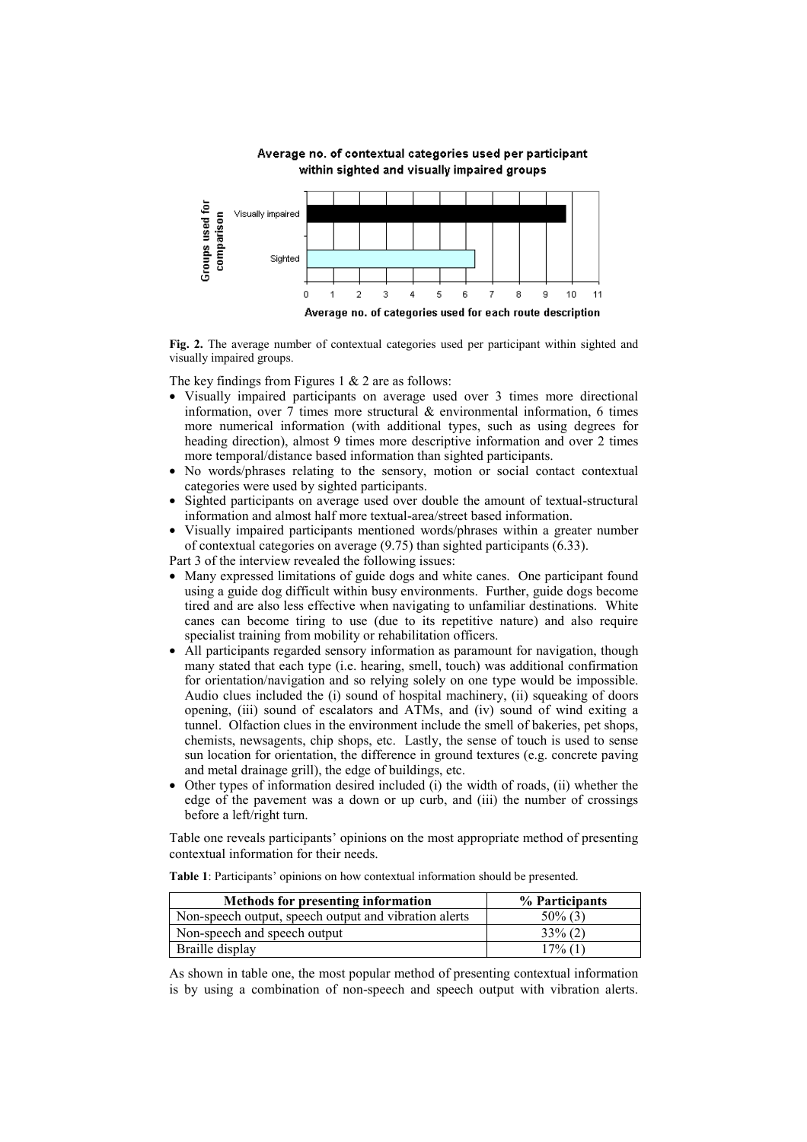Average no. of contextual categories used per participant within sighted and visually impaired groups



**Fig. 2.** The average number of contextual categories used per participant within sighted and visually impaired groups.

The key findings from Figures 1  $& 2$  are as follows:

- Visually impaired participants on average used over 3 times more directional information, over  $7$  times more structural  $\&$  environmental information, 6 times more numerical information (with additional types, such as using degrees for heading direction), almost 9 times more descriptive information and over 2 times more temporal/distance based information than sighted participants.
- No words/phrases relating to the sensory, motion or social contact contextual categories were used by sighted participants.
- Sighted participants on average used over double the amount of textual-structural information and almost half more textual-area/street based information.
- Visually impaired participants mentioned words/phrases within a greater number of contextual categories on average (9.75) than sighted participants (6.33).

Part 3 of the interview revealed the following issues:

- Many expressed limitations of guide dogs and white canes. One participant found using a guide dog difficult within busy environments. Further, guide dogs become tired and are also less effective when navigating to unfamiliar destinations. White canes can become tiring to use (due to its repetitive nature) and also require specialist training from mobility or rehabilitation officers.
- All participants regarded sensory information as paramount for navigation, though many stated that each type (i.e. hearing, smell, touch) was additional confirmation for orientation/navigation and so relying solely on one type would be impossible. Audio clues included the (i) sound of hospital machinery, (ii) squeaking of doors opening, (iii) sound of escalators and ATMs, and (iv) sound of wind exiting a tunnel. Olfaction clues in the environment include the smell of bakeries, pet shops, chemists, newsagents, chip shops, etc. Lastly, the sense of touch is used to sense sun location for orientation, the difference in ground textures (e.g. concrete paving and metal drainage grill), the edge of buildings, etc.
- Other types of information desired included (i) the width of roads, (ii) whether the edge of the pavement was a down or up curb, and (iii) the number of crossings before a left/right turn.

Table one reveals participants' opinions on the most appropriate method of presenting contextual information for their needs.

| <b>Methods for presenting information</b>             | % Participants |
|-------------------------------------------------------|----------------|
| Non-speech output, speech output and vibration alerts | $50\%$ (3)     |
| Non-speech and speech output                          | $33\%$ (2)     |
| Braille display                                       | $17\%$ (1)     |

**Table 1**: Participants' opinions on how contextual information should be presented.

As shown in table one, the most popular method of presenting contextual information is by using a combination of non-speech and speech output with vibration alerts.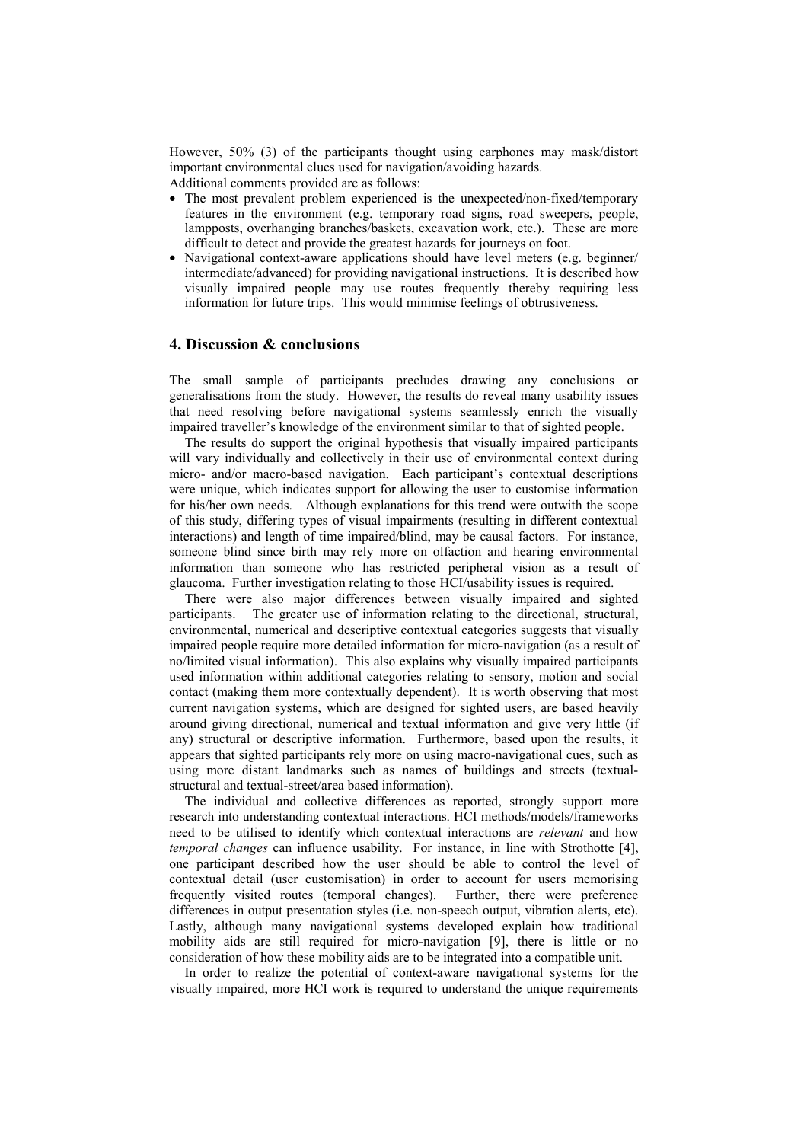However, 50% (3) of the participants thought using earphones may mask/distort important environmental clues used for navigation/avoiding hazards.

Additional comments provided are as follows:

- The most prevalent problem experienced is the unexpected/non-fixed/temporary features in the environment (e.g. temporary road signs, road sweepers, people, lampposts, overhanging branches/baskets, excavation work, etc.). These are more difficult to detect and provide the greatest hazards for journeys on foot.
- Navigational context-aware applications should have level meters (e.g. beginner/ intermediate/advanced) for providing navigational instructions. It is described how visually impaired people may use routes frequently thereby requiring less information for future trips. This would minimise feelings of obtrusiveness.

### **4. Discussion & conclusions**

The small sample of participants precludes drawing any conclusions or generalisations from the study. However, the results do reveal many usability issues that need resolving before navigational systems seamlessly enrich the visually impaired traveller's knowledge of the environment similar to that of sighted people.

The results do support the original hypothesis that visually impaired participants will vary individually and collectively in their use of environmental context during micro- and/or macro-based navigation. Each participant's contextual descriptions were unique, which indicates support for allowing the user to customise information for his/her own needs. Although explanations for this trend were outwith the scope of this study, differing types of visual impairments (resulting in different contextual interactions) and length of time impaired/blind, may be causal factors. For instance, someone blind since birth may rely more on olfaction and hearing environmental information than someone who has restricted peripheral vision as a result of glaucoma. Further investigation relating to those HCI/usability issues is required.

There were also major differences between visually impaired and sighted participants. The greater use of information relating to the directional, structural, environmental, numerical and descriptive contextual categories suggests that visually impaired people require more detailed information for micro-navigation (as a result of no/limited visual information). This also explains why visually impaired participants used information within additional categories relating to sensory, motion and social contact (making them more contextually dependent). It is worth observing that most current navigation systems, which are designed for sighted users, are based heavily around giving directional, numerical and textual information and give very little (if any) structural or descriptive information. Furthermore, based upon the results, it appears that sighted participants rely more on using macro-navigational cues, such as using more distant landmarks such as names of buildings and streets (textualstructural and textual-street/area based information).

The individual and collective differences as reported, strongly support more research into understanding contextual interactions. HCI methods/models/frameworks need to be utilised to identify which contextual interactions are *relevant* and how *temporal changes* can influence usability. For instance, in line with Strothotte [4], one participant described how the user should be able to control the level of contextual detail (user customisation) in order to account for users memorising frequently visited routes (temporal changes). Further, there were preference differences in output presentation styles (i.e. non-speech output, vibration alerts, etc). Lastly, although many navigational systems developed explain how traditional mobility aids are still required for micro-navigation [9], there is little or no consideration of how these mobility aids are to be integrated into a compatible unit.

In order to realize the potential of context-aware navigational systems for the visually impaired, more HCI work is required to understand the unique requirements